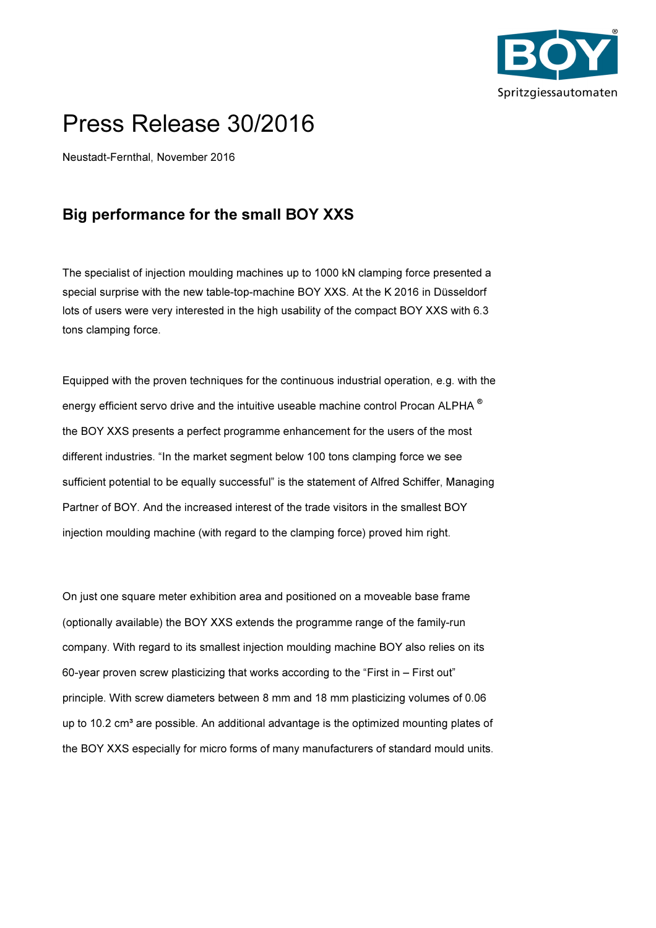

## Press Release 30/2016

Neustadt-Fernthal, November 2016

## Big performance for the small BOY XXS

The specialist of injection moulding machines up to 1000 kN clamping force presented a special surprise with the new table-top-machine BOY XXS. At the K 2016 in Düsseldorf lots of users were very interested in the high usability of the compact BOY XXS with 6.3 tons clamping force.

Equipped with the proven techniques for the continuous industrial operation, e.g. with the energy efficient servo drive and the intuitive useable machine control Procan ALPHA ® the BOY XXS presents a perfect programme enhancement for the users of the most different industries. "In the market segment below 100 tons clamping force we see sufficient potential to be equally successful" is the statement of Alfred Schiffer, Managing Partner of BOY. And the increased interest of the trade visitors in the smallest BOY injection moulding machine (with regard to the clamping force) proved him right.

On just one square meter exhibition area and positioned on a moveable base frame (optionally available) the BOY XXS extends the programme range of the family-run company. With regard to its smallest injection moulding machine BOY also relies on its 60-year proven screw plasticizing that works according to the "First in – First out" principle. With screw diameters between 8 mm and 18 mm plasticizing volumes of 0.06 up to 10.2  $cm<sup>3</sup>$  are possible. An additional advantage is the optimized mounting plates of the BOY XXS especially for micro forms of many manufacturers of standard mould units.